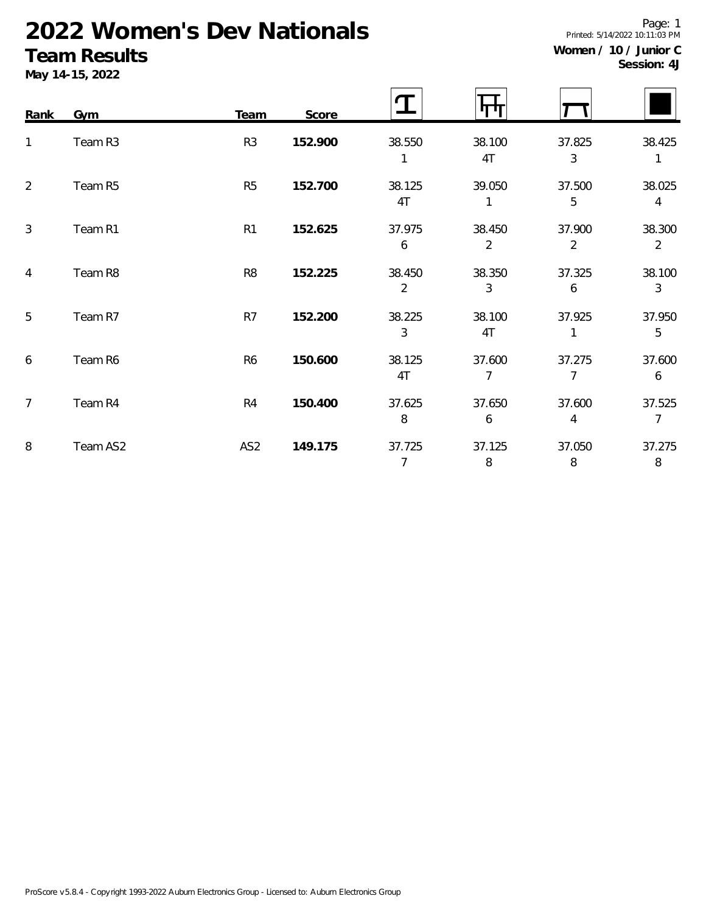# **2022 Women's Dev Nationals**

### **Team Results**

**May 14-15, 2022**

**Session: 4J**

| Rank           | Gym      | Team            | Score   |                          | IT LI        |                          |                          |
|----------------|----------|-----------------|---------|--------------------------|--------------|--------------------------|--------------------------|
| $\mathbf{1}$   | Team R3  | R <sub>3</sub>  | 152.900 | 38.550<br>1              | 38.100<br>4T | 37.825<br>$\mathfrak{Z}$ | 38.425<br>$\mathbf{1}$   |
| 2              | Team R5  | R <sub>5</sub>  | 152.700 | 38.125<br>4T             | 39.050       | 37.500<br>5              | 38.025<br>$\overline{4}$ |
| $\mathbf{3}$   | Team R1  | R <sub>1</sub>  | 152.625 | 37.975<br>6              | 38.450<br>2  | 37.900<br>$\overline{2}$ | 38.300<br>$\overline{2}$ |
| $\overline{4}$ | Team R8  | R <sub>8</sub>  | 152.225 | 38.450<br>$\overline{2}$ | 38.350<br>3  | 37.325<br>6              | 38.100<br>$\mathfrak{Z}$ |
| 5              | Team R7  | R7              | 152.200 | 38.225<br>3              | 38.100<br>4T | 37.925<br>1              | 37.950<br>5              |
| 6              | Team R6  | R <sub>6</sub>  | 150.600 | 38.125<br>4T             | 37.600<br>7  | 37.275<br>7              | 37.600<br>6              |
| $\overline{7}$ | Team R4  | R <sub>4</sub>  | 150.400 | 37.625<br>8              | 37.650<br>6  | 37.600<br>4              | 37.525<br>$\overline{7}$ |
| 8              | Team AS2 | AS <sub>2</sub> | 149.175 | 37.725<br>$\overline{7}$ | 37.125<br>8  | 37.050<br>8              | 37.275<br>8              |

Page: 1 Printed: 5/14/2022 10:11:03 PM **Women / 10 / Junior C**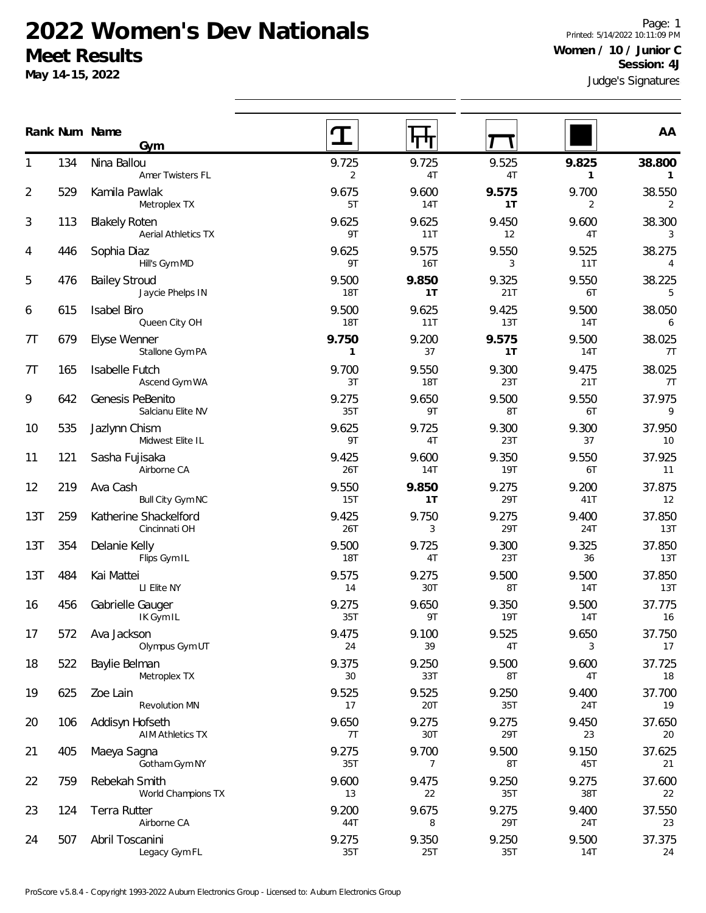### **2022 Women's Dev Nationals Meet Results**

**May 14-15, 2022**

Judge's Signatures Page: 1 Printed: 5/14/2022 10:11:09 PM **Women / 10 / Junior C Session: 4J**

|     | Gym |                                                    |                       | 'I 'I '             | 1                   |                       |                          |
|-----|-----|----------------------------------------------------|-----------------------|---------------------|---------------------|-----------------------|--------------------------|
|     | 134 | Nina Ballou<br>Amer Twisters FL                    | 9.725<br>2            | 9.725<br>4T         | 9.525<br>4T         | 9.825<br>$\mathbf{1}$ | 38.800<br>$\mathbf{1}$   |
| 2   | 529 | Kamila Pawlak<br>Metroplex TX                      | 9.675<br>5T           | 9.600<br>14T        | 9.575<br>1T         | 9.700<br>2            | 38.550<br>2              |
| 3   | 113 | <b>Blakely Roten</b><br><b>Aerial Athletics TX</b> | 9.625<br>9T           | 9.625<br>11T        | 9.450<br>12         | 9.600<br>4T           | 38.300<br>3              |
| 4   | 446 | Sophia Diaz<br>Hill's Gym MD                       | 9.625<br>9T           | 9.575<br>16T        | 9.550<br>3          | 9.525<br>11T          | 38.275<br>$\overline{4}$ |
| 5   | 476 | <b>Bailey Stroud</b><br>Jaycie Phelps IN           | 9.500<br>18T          | 9.850<br>1T         | 9.325<br>21T        | 9.550<br>6T           | 38.225<br>5              |
| 6   | 615 | Isabel Biro<br>Queen City OH                       | 9.500<br>18T          | 9.625<br>11T        | 9.425<br>13T        | 9.500<br><b>14T</b>   | 38.050<br>6              |
| 7T  | 679 | Elyse Wenner<br>Stallone Gym PA                    | 9.750<br>$\mathbf{1}$ | 9.200<br>37         | 9.575<br>1T         | 9.500<br>14T          | 38.025<br>7T             |
| 7T  | 165 | Isabelle Futch<br>Ascend Gym WA                    | 9.700<br>3T           | 9.550<br><b>18T</b> | 9.300<br>23T        | 9.475<br>21T          | 38.025<br>7T             |
| 9   | 642 | Genesis PeBenito<br>Salcianu Elite NV              | 9.275<br>35T          | 9.650<br>9T         | 9.500<br>8T         | 9.550<br>6T           | 37.975<br>9              |
| 10  | 535 | Jazlynn Chism<br>Midwest Elite IL                  | 9.625<br>9T           | 9.725<br>4T         | 9.300<br>23T        | 9.300<br>37           | 37.950<br>10             |
| 11  | 121 | Sasha Fujisaka<br>Airborne CA                      | 9.425<br>26T          | 9.600<br>14T        | 9.350<br><b>19T</b> | 9.550<br>6T           | 37.925<br>11             |
| 12  | 219 | Ava Cash<br>Bull City Gym NC                       | 9.550<br>15T          | 9.850<br>1T         | 9.275<br>29T        | 9.200<br>41T          | 37.875<br>12             |
| 13T | 259 | Katherine Shackelford<br>Cincinnati OH             | 9.425<br>26T          | 9.750<br>3          | 9.275<br>29T        | 9.400<br>24T          | 37.850<br>13T            |
| 13T | 354 | Delanie Kelly<br>Flips Gym IL                      | 9.500<br>18T          | 9.725<br>4T         | 9.300<br>23T        | 9.325<br>36           | 37.850<br>13T            |
| 13T | 484 | Kai Mattei<br>LI Elite NY                          | 9.575<br>14           | 9.275<br>30T        | 9.500<br>8T         | 9.500<br><b>14T</b>   | 37.850<br>13T            |
| 16  | 456 | Gabrielle Gauger<br>IK Gym IL                      | 9.275<br>35T          | 9.650<br>9T         | 9.350<br>19T        | 9.500<br><b>14T</b>   | 37.775<br>16             |
| 17  | 572 | Ava Jackson<br>Olympus Gym UT                      | 9.475<br>24           | 9.100<br>39         | 9.525<br>4T         | 9.650<br>3            | 37.750<br>17             |
| 18  | 522 | Baylie Belman<br>Metroplex TX                      | 9.375<br>30           | 9.250<br>33T        | 9.500<br>8T         | 9.600<br>4T           | 37.725<br>18             |
| 19  | 625 | Zoe Lain<br><b>Revolution MN</b>                   | 9.525<br>17           | 9.525<br>20T        | 9.250<br>35T        | 9.400<br>24T          | 37.700<br>19             |
| 20  | 106 | Addisyn Hofseth<br><b>AIM Athletics TX</b>         | 9.650<br>7T           | 9.275<br>30T        | 9.275<br>29T        | 9.450<br>23           | 37.650<br>20             |
| 21  | 405 | Maeya Sagna<br>Gotham Gym NY                       | 9.275<br>35T          | 9.700<br>7          | 9.500<br>8T         | 9.150<br>45T          | 37.625<br>21             |
| 22  | 759 | Rebekah Smith<br>World Champions TX                | 9.600<br>13           | 9.475<br>22         | 9.250<br>35T        | 9.275<br>38T          | 37.600<br>22             |
| 23  | 124 | Terra Rutter<br>Airborne CA                        | 9.200<br>44T          | 9.675<br>8          | 9.275<br>29T        | 9.400<br>24T          | 37.550<br>23             |
| 24  | 507 | Abril Toscanini<br>Legacy Gym FL                   | 9.275<br>35T          | 9.350<br>25T        | 9.250<br>35T        | 9.500<br>14T          | 37.375<br>24             |

**Num Name Rank AA**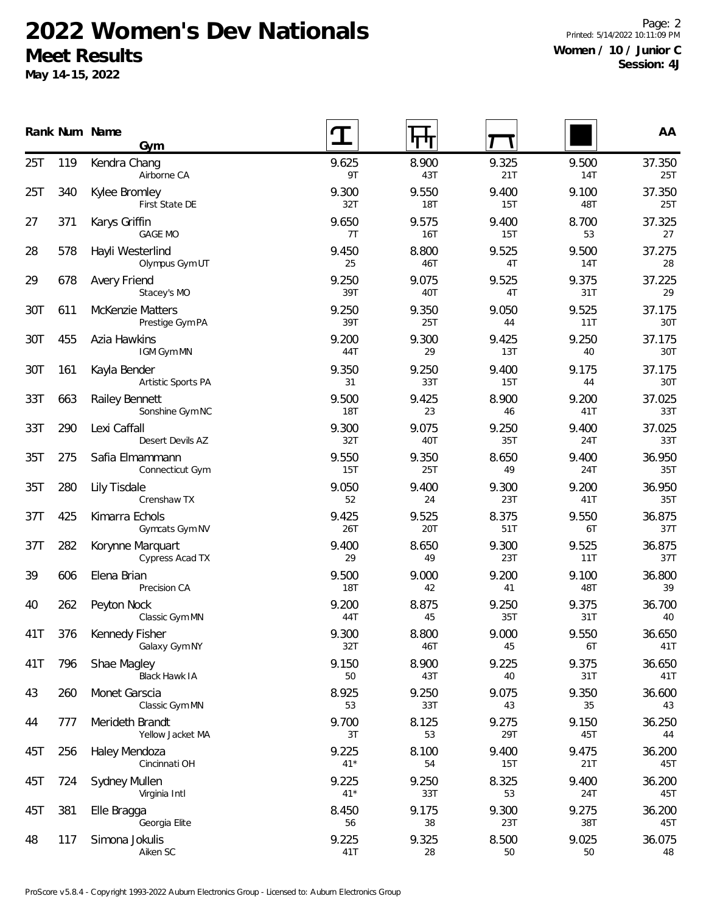## **2022 Women's Dev Nationals Meet Results**

**May 14-15, 2022**

Page: 2 Printed: 5/14/2022 10:11:09 PM **Women / 10 / Junior C Session: 4J**

|     |     | Rank Num Name<br>Gym                       |                |                     |              |              | AA            |
|-----|-----|--------------------------------------------|----------------|---------------------|--------------|--------------|---------------|
| 25T | 119 | Kendra Chang<br>Airborne CA                | 9.625<br>9T    | 8.900<br>43T        | 9.325<br>21T | 9.500<br>14T | 37.350<br>25T |
| 25T | 340 | Kylee Bromley<br>First State DE            | 9.300<br>32T   | 9.550<br><b>18T</b> | 9.400<br>15T | 9.100<br>48T | 37.350<br>25T |
| 27  | 371 | Karys Griffin<br><b>GAGE MO</b>            | 9.650<br>7T    | 9.575<br>16T        | 9.400<br>15T | 8.700<br>53  | 37.325<br>27  |
| 28  | 578 | Hayli Westerlind<br>Olympus Gym UT         | 9.450<br>25    | 8.800<br>46T        | 9.525<br>4T  | 9.500<br>14T | 37.275<br>28  |
| 29  | 678 | Avery Friend<br>Stacey's MO                | 9.250<br>39T   | 9.075<br>40T        | 9.525<br>4T  | 9.375<br>31T | 37.225<br>29  |
| 30T | 611 | <b>McKenzie Matters</b><br>Prestige Gym PA | 9.250<br>39T   | 9.350<br>25T        | 9.050<br>44  | 9.525<br>11T | 37.175<br>30T |
| 30T | 455 | Azia Hawkins<br>IGM Gym MN                 | 9.200<br>44T   | 9.300<br>29         | 9.425<br>13T | 9.250<br>40  | 37.175<br>30T |
| 30T | 161 | Kayla Bender<br>Artistic Sports PA         | 9.350<br>31    | 9.250<br>33T        | 9.400<br>15T | 9.175<br>44  | 37.175<br>30T |
| 33T | 663 | Railey Bennett<br>Sonshine Gym NC          | 9.500<br>18T   | 9.425<br>23         | 8.900<br>46  | 9.200<br>41T | 37.025<br>33T |
| 33T | 290 | Lexi Caffall<br>Desert Devils AZ           | 9.300<br>32T   | 9.075<br>40T        | 9.250<br>35T | 9.400<br>24T | 37.025<br>33T |
| 35T | 275 | Safia Elmammann<br>Connecticut Gym         | 9.550<br>15T   | 9.350<br>25T        | 8.650<br>49  | 9.400<br>24T | 36.950<br>35T |
| 35T | 280 | <b>Lily Tisdale</b><br>Crenshaw TX         | 9.050<br>52    | 9.400<br>24         | 9.300<br>23T | 9.200<br>41T | 36.950<br>35T |
| 37T | 425 | Kimarra Echols<br>Gymcats Gym NV           | 9.425<br>26T   | 9.525<br>20T        | 8.375<br>51T | 9.550<br>6T  | 36.875<br>37T |
| 37T | 282 | Korynne Marquart<br>Cypress Acad TX        | 9.400<br>29    | 8.650<br>49         | 9.300<br>23T | 9.525<br>11T | 36.875<br>37T |
| 39  | 606 | Elena Brian<br>Precision CA                | 9.500<br>18T   | 9.000<br>42         | 9.200<br>41  | 9.100<br>48T | 36.800<br>39  |
| 40  | 262 | Peyton Nock<br>Classic Gym MN              | 9.200<br>44T   | 8.875<br>45         | 9.250<br>35T | 9.375<br>31T | 36.700<br>40  |
| 41T | 376 | Kennedy Fisher<br>Galaxy Gym NY            | 9.300<br>32T   | 8.800<br>46T        | 9.000<br>45  | 9.550<br>6T  | 36.650<br>41T |
| 41T | 796 | Shae Magley<br><b>Black Hawk IA</b>        | 9.150<br>50    | 8.900<br>43T        | 9.225<br>40  | 9.375<br>31T | 36.650<br>41T |
| 43  | 260 | Monet Garscia<br>Classic Gym MN            | 8.925<br>53    | 9.250<br>33T        | 9.075<br>43  | 9.350<br>35  | 36.600<br>43  |
| 44  | 777 | Merideth Brandt<br>Yellow Jacket MA        | 9.700<br>3T    | 8.125<br>53         | 9.275<br>29T | 9.150<br>45T | 36.250<br>44  |
| 45T | 256 | Haley Mendoza<br>Cincinnati OH             | 9.225<br>$41*$ | 8.100<br>54         | 9.400<br>15T | 9.475<br>21T | 36.200<br>45T |
| 45T | 724 | Sydney Mullen<br>Virginia Intl             | 9.225<br>$41*$ | 9.250<br>33T        | 8.325<br>53  | 9.400<br>24T | 36.200<br>45T |
| 45T | 381 | Elle Bragga<br>Georgia Elite               | 8.450<br>56    | 9.175<br>38         | 9.300<br>23T | 9.275<br>38T | 36.200<br>45T |
| 48  | 117 | Simona Jokulis<br>Aiken SC                 | 9.225<br>41T   | 9.325<br>28         | 8.500<br>50  | 9.025<br>50  | 36.075<br>48  |